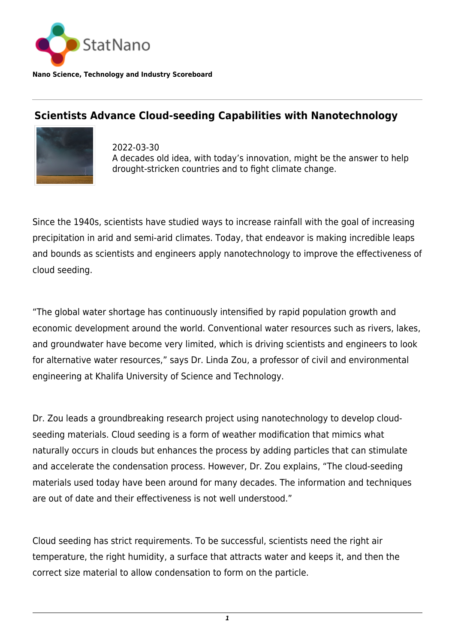

**Nano Science, Technology and Industry Scoreboard**

## **Scientists Advance Cloud-seeding Capabilities with Nanotechnology**



2022-03-30 A decades old idea, with today's innovation, might be the answer to help drought-stricken countries and to fight climate change.

Since the 1940s, scientists have studied ways to increase rainfall with the goal of increasing precipitation in arid and semi-arid climates. Today, that endeavor is making incredible leaps and bounds as scientists and engineers apply nanotechnology to improve the effectiveness of cloud seeding.

"The global water shortage has continuously intensified by rapid population growth and economic development around the world. Conventional water resources such as rivers, lakes, and groundwater have become very limited, which is driving scientists and engineers to look for alternative water resources," says Dr. Linda Zou, a professor of civil and environmental engineering at Khalifa University of Science and Technology.

Dr. Zou leads a groundbreaking research project using nanotechnology to develop cloudseeding materials. Cloud seeding is a form of weather modification that mimics what naturally occurs in clouds but enhances the process by adding particles that can stimulate and accelerate the condensation process. However, Dr. Zou explains, "The cloud-seeding materials used today have been around for many decades. The information and techniques are out of date and their effectiveness is not well understood."

Cloud seeding has strict requirements. To be successful, scientists need the right air temperature, the right humidity, a surface that attracts water and keeps it, and then the correct size material to allow condensation to form on the particle.